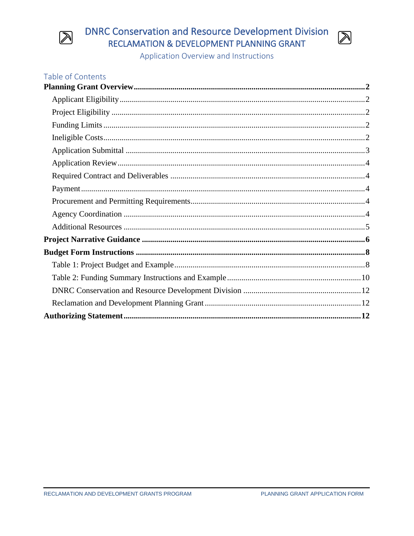

# **DNRC Conservation and Resource Development Division** RECLAMATION & DEVELOPMENT PLANNING GRANT



| <b>Table of Contents</b> |  |
|--------------------------|--|
|                          |  |
|                          |  |
|                          |  |
|                          |  |
|                          |  |
|                          |  |
|                          |  |
|                          |  |
|                          |  |
|                          |  |
|                          |  |
|                          |  |
|                          |  |
|                          |  |
|                          |  |
|                          |  |
|                          |  |
|                          |  |
|                          |  |

 $\boxtimes$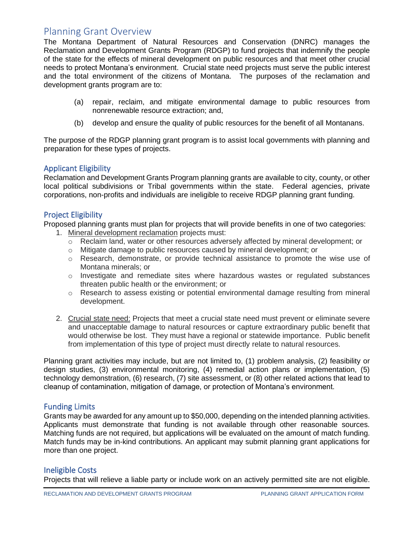# <span id="page-1-0"></span>Planning Grant Overview

The Montana Department of Natural Resources and Conservation (DNRC) manages the Reclamation and Development Grants Program (RDGP) to fund projects that indemnify the people of the state for the effects of mineral development on public resources and that meet other crucial needs to protect Montana's environment. Crucial state need projects must serve the public interest and the total environment of the citizens of Montana. The purposes of the reclamation and development grants program are to:

- (a) repair, reclaim, and mitigate environmental damage to public resources from nonrenewable resource extraction; and,
- (b) develop and ensure the quality of public resources for the benefit of all Montanans.

The purpose of the RDGP planning grant program is to assist local governments with planning and preparation for these types of projects.

## <span id="page-1-1"></span>Applicant Eligibility

Reclamation and Development Grants Program planning grants are available to city, county, or other local political subdivisions or Tribal governments within the state. Federal agencies, private corporations, non-profits and individuals are ineligible to receive RDGP planning grant funding.

# <span id="page-1-2"></span>Project Eligibility

Proposed planning grants must plan for projects that will provide benefits in one of two categories:

- 1. Mineral development reclamation projects must:
	- o Reclaim land, water or other resources adversely affected by mineral development; or
	- o Mitigate damage to public resources caused by mineral development; or
	- o Research, demonstrate, or provide technical assistance to promote the wise use of Montana minerals; or
	- o Investigate and remediate sites where hazardous wastes or regulated substances threaten public health or the environment; or
	- $\circ$  Research to assess existing or potential environmental damage resulting from mineral development.
- 2. Crucial state need: Projects that meet a crucial state need must prevent or eliminate severe and unacceptable damage to natural resources or capture extraordinary public benefit that would otherwise be lost. They must have a regional or statewide importance. Public benefit from implementation of this type of project must directly relate to natural resources.

Planning grant activities may include, but are not limited to, (1) problem analysis, (2) feasibility or design studies, (3) environmental monitoring, (4) remedial action plans or implementation, (5) technology demonstration, (6) research, (7) site assessment, or (8) other related actions that lead to cleanup of contamination, mitigation of damage, or protection of Montana's environment.

# <span id="page-1-3"></span>Funding Limits

Grants may be awarded for any amount up to \$50,000, depending on the intended planning activities. Applicants must demonstrate that funding is not available through other reasonable sources. Matching funds are not required, but applications will be evaluated on the amount of match funding. Match funds may be in-kind contributions. An applicant may submit planning grant applications for more than one project.

# <span id="page-1-4"></span>Ineligible Costs

Projects that will relieve a liable party or include work on an actively permitted site are not eligible.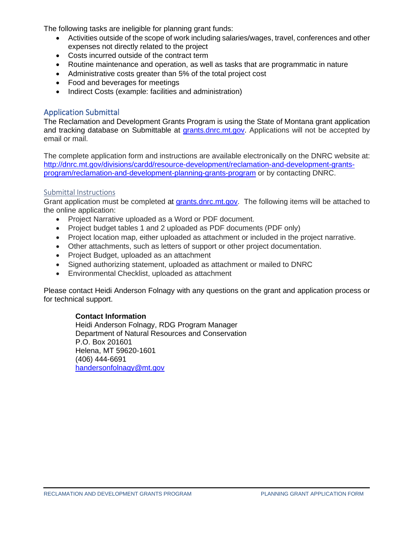The following tasks are ineligible for planning grant funds:

- Activities outside of the scope of work including salaries/wages, travel, conferences and other expenses not directly related to the project
- Costs incurred outside of the contract term
- Routine maintenance and operation, as well as tasks that are programmatic in nature
- Administrative costs greater than 5% of the total project cost
- Food and beverages for meetings
- Indirect Costs (example: facilities and administration)

## <span id="page-2-0"></span>Application Submittal

The Reclamation and Development Grants Program is using the State of Montana grant application and tracking database on Submittable at [grants.dnrc.mt.gov.](https://grants.dnrc.mt.gov/) Applications will not be accepted by email or mail.

The complete application form and instructions are available electronically on the DNRC website at: [http://dnrc.mt.gov/divisions/cardd/resource-development/reclamation-and-development-grants](http://dnrc.mt.gov/divisions/cardd/resource-development/reclamation-and-development-grants-program/reclamation-and-development-planning-grants-program)[program/reclamation-and-development-planning-grants-program](http://dnrc.mt.gov/divisions/cardd/resource-development/reclamation-and-development-grants-program/reclamation-and-development-planning-grants-program) or by contacting DNRC.

### Submittal Instructions

Grant application must be completed at [grants.dnrc.mt.gov.](https://grants.dnrc.mt.gov/) The following items will be attached to the online application:

- Project Narrative uploaded as a Word or PDF document.
- Project budget tables 1 and 2 uploaded as PDF documents (PDF only)
- Project location map, either uploaded as attachment or included in the project narrative.
- Other attachments, such as letters of support or other project documentation.
- Project Budget, uploaded as an attachment
- Signed authorizing statement, uploaded as attachment or mailed to DNRC
- Environmental Checklist, uploaded as attachment

Please contact Heidi Anderson Folnagy with any questions on the grant and application process or for technical support.

### **Contact Information**

Heidi Anderson Folnagy, RDG Program Manager Department of Natural Resources and Conservation P.O. Box 201601 Helena, MT 59620-1601 (406) 444-6691 [handersonfolnagy@mt.gov](mailto:hfolnagy@mt.gov)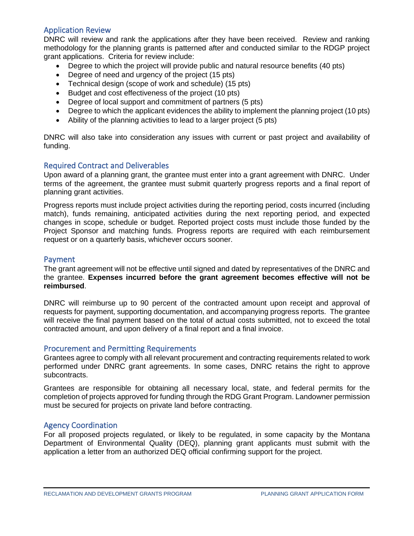# <span id="page-3-0"></span>Application Review

DNRC will review and rank the applications after they have been received. Review and ranking methodology for the planning grants is patterned after and conducted similar to the RDGP project grant applications. Criteria for review include:

- Degree to which the project will provide public and natural resource benefits (40 pts)
- Degree of need and urgency of the project (15 pts)
- Technical design (scope of work and schedule) (15 pts)
- Budget and cost effectiveness of the project (10 pts)
- Degree of local support and commitment of partners (5 pts)
- Degree to which the applicant evidences the ability to implement the planning project (10 pts)
- Ability of the planning activities to lead to a larger project (5 pts)

DNRC will also take into consideration any issues with current or past project and availability of funding.

## <span id="page-3-1"></span>Required Contract and Deliverables

Upon award of a planning grant, the grantee must enter into a grant agreement with DNRC. Under terms of the agreement, the grantee must submit quarterly progress reports and a final report of planning grant activities.

Progress reports must include project activities during the reporting period, costs incurred (including match), funds remaining, anticipated activities during the next reporting period, and expected changes in scope, schedule or budget. Reported project costs must include those funded by the Project Sponsor and matching funds. Progress reports are required with each reimbursement request or on a quarterly basis, whichever occurs sooner.

### <span id="page-3-2"></span>Payment

The grant agreement will not be effective until signed and dated by representatives of the DNRC and the grantee. **Expenses incurred before the grant agreement becomes effective will not be reimbursed**.

DNRC will reimburse up to 90 percent of the contracted amount upon receipt and approval of requests for payment, supporting documentation, and accompanying progress reports. The grantee will receive the final payment based on the total of actual costs submitted, not to exceed the total contracted amount, and upon delivery of a final report and a final invoice.

### <span id="page-3-3"></span>Procurement and Permitting Requirements

Grantees agree to comply with all relevant procurement and contracting requirements related to work performed under DNRC grant agreements. In some cases, DNRC retains the right to approve subcontracts.

Grantees are responsible for obtaining all necessary local, state, and federal permits for the completion of projects approved for funding through the RDG Grant Program. Landowner permission must be secured for projects on private land before contracting.

### <span id="page-3-4"></span>Agency Coordination

For all proposed projects regulated, or likely to be regulated, in some capacity by the Montana Department of Environmental Quality (DEQ), planning grant applicants must submit with the application a letter from an authorized DEQ official confirming support for the project.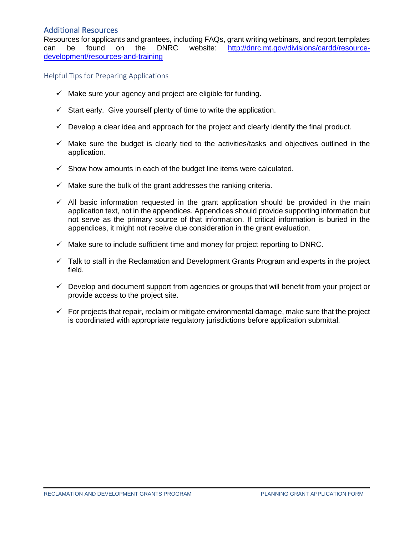# <span id="page-4-0"></span>Additional Resources

Resources for applicants and grantees, including FAQs, grant writing webinars, and report templates can be found on the DNRC website: [http://dnrc.mt.gov/divisions/cardd/resource](http://dnrc.mt.gov/divisions/cardd/resource-development/resources-and-training)[development/resources-and-training](http://dnrc.mt.gov/divisions/cardd/resource-development/resources-and-training)

Helpful Tips for Preparing Applications

- $\checkmark$  Make sure your agency and project are eligible for funding.
- $\checkmark$  Start early. Give yourself plenty of time to write the application.
- $\checkmark$  Develop a clear idea and approach for the project and clearly identify the final product.
- $\checkmark$  Make sure the budget is clearly tied to the activities/tasks and objectives outlined in the application.
- $\checkmark$  Show how amounts in each of the budget line items were calculated.
- $\checkmark$  Make sure the bulk of the grant addresses the ranking criteria.
- $\checkmark$  All basic information requested in the grant application should be provided in the main application text, not in the appendices. Appendices should provide supporting information but not serve as the primary source of that information. If critical information is buried in the appendices, it might not receive due consideration in the grant evaluation.
- $\checkmark$  Make sure to include sufficient time and money for project reporting to DNRC.
- $\checkmark$  Talk to staff in the Reclamation and Development Grants Program and experts in the project field.
- ✓ Develop and document support from agencies or groups that will benefit from your project or provide access to the project site.
- $\checkmark$  For projects that repair, reclaim or mitigate environmental damage, make sure that the project is coordinated with appropriate regulatory jurisdictions before application submittal.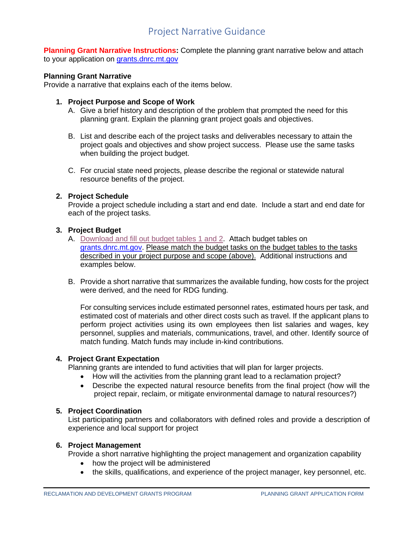# Project Narrative Guidance

<span id="page-5-0"></span>**Planning Grant Narrative Instructions:** Complete the planning grant narrative below and attach to your application on [grants.dnrc.mt.gov](https://grants.dnrc.mt.gov/)

#### **Planning Grant Narrative**

Provide a narrative that explains each of the items below.

#### **1. Project Purpose and Scope of Work**

- A. Give a brief history and description of the problem that prompted the need for this planning grant. Explain the planning grant project goals and objectives.
- B. List and describe each of the project tasks and deliverables necessary to attain the project goals and objectives and show project success. Please use the same tasks when building the project budget.
- C. For crucial state need projects, please describe the regional or statewide natural resource benefits of the project.

#### **2. Project Schedule**

Provide a project schedule including a start and end date. Include a start and end date for each of the project tasks.

#### **3. Project Budget**

- A. [Download and fill out budget tables 1 and 2.](http://dnrc.mt.gov/divisions/cardd/docs/rdg-docs/rdg-application-instructions/planning-grant-instructions) Attach budget tables on [grants.dnrc.mt.gov.](https://grants.dnrc.mt.gov/) Please match the budget tasks on the budget tables to the tasks described in your project purpose and scope (above). Additional instructions and examples below.
- B. Provide a short narrative that summarizes the available funding, how costs for the project were derived, and the need for RDG funding.

For consulting services include estimated personnel rates, estimated hours per task, and estimated cost of materials and other direct costs such as travel. If the applicant plans to perform project activities using its own employees then list salaries and wages, key personnel, supplies and materials, communications, travel, and other. Identify source of match funding. Match funds may include in-kind contributions.

#### **4. Project Grant Expectation**

Planning grants are intended to fund activities that will plan for larger projects.

- How will the activities from the planning grant lead to a reclamation project?
- Describe the expected natural resource benefits from the final project (how will the project repair, reclaim, or mitigate environmental damage to natural resources?)

#### **5. Project Coordination**

List participating partners and collaborators with defined roles and provide a description of experience and local support for project

#### **6. Project Management**

Provide a short narrative highlighting the project management and organization capability

- how the project will be administered
- the skills, qualifications, and experience of the project manager, key personnel, etc.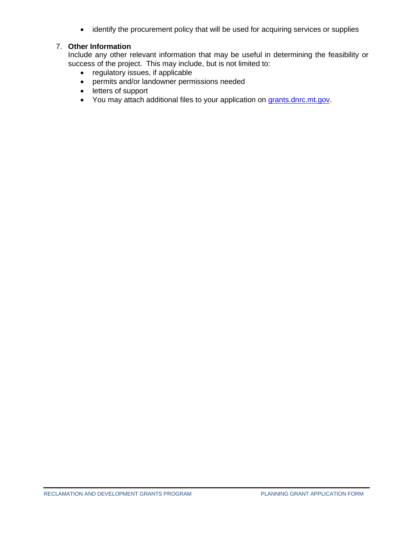• identify the procurement policy that will be used for acquiring services or supplies

## 7. **Other Information**

Include any other relevant information that may be useful in determining the feasibility or success of the project. This may include, but is not limited to:

- regulatory issues, if applicable
- permits and/or landowner permissions needed
- letters of support
- You may attach additional files to your application on [grants.dnrc.mt.gov.](https://grants.dnrc.mt.gov/)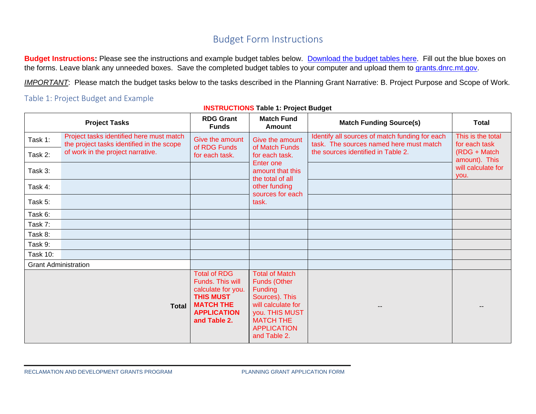# Budget Form Instructions

**Budget Instructions:** Please see the instructions and example budget tables below. [Download the budget tables here.](http://dnrc.mt.gov/divisions/cardd/docs/rdg-docs/rdg-application-instructions/planning-grant-instructions) Fill out the blue boxes on the forms. Leave blank any unneeded boxes. Save the completed budget tables to your computer and upload them to [grants.dnrc.mt.gov.](https://grants.dnrc.mt.gov/)

*IMPORTANT*: Please match the budget tasks below to the tasks described in the Planning Grant Narrative: B. Project Purpose and Scope of Work.

# Table 1: Project Budget and Example

<span id="page-7-1"></span><span id="page-7-0"></span>

|                             | <b>Project Tasks</b>                                                                  | <b>RDG Grant</b><br><b>Funds</b>                                                                                                            | <b>Match Fund</b><br><b>Amount</b>                                                                                                                                                 | <b>Match Funding Source(s)</b>                                                            | <b>Total</b>                                                        |
|-----------------------------|---------------------------------------------------------------------------------------|---------------------------------------------------------------------------------------------------------------------------------------------|------------------------------------------------------------------------------------------------------------------------------------------------------------------------------------|-------------------------------------------------------------------------------------------|---------------------------------------------------------------------|
| Task 1:                     | Project tasks identified here must match<br>the project tasks identified in the scope | Give the amount<br>of RDG Funds                                                                                                             | Give the amount<br>of Match Funds                                                                                                                                                  | Identify all sources of match funding for each<br>task. The sources named here must match | This is the total<br>for each task<br>(RDG + Match<br>amount). This |
| Task 2:                     | of work in the project narrative.                                                     | for each task.                                                                                                                              | for each task.<br>Enter one                                                                                                                                                        | the sources identified in Table 2.                                                        |                                                                     |
| Task 3:                     |                                                                                       |                                                                                                                                             | amount that this<br>the total of all                                                                                                                                               |                                                                                           | will calculate for<br>you.                                          |
| Task 4:                     |                                                                                       |                                                                                                                                             | other funding<br>sources for each                                                                                                                                                  |                                                                                           |                                                                     |
| Task 5:                     |                                                                                       |                                                                                                                                             | task.                                                                                                                                                                              |                                                                                           |                                                                     |
| Task 6:                     |                                                                                       |                                                                                                                                             |                                                                                                                                                                                    |                                                                                           |                                                                     |
| Task 7:                     |                                                                                       |                                                                                                                                             |                                                                                                                                                                                    |                                                                                           |                                                                     |
| Task 8:                     |                                                                                       |                                                                                                                                             |                                                                                                                                                                                    |                                                                                           |                                                                     |
| Task 9:                     |                                                                                       |                                                                                                                                             |                                                                                                                                                                                    |                                                                                           |                                                                     |
| <b>Task 10:</b>             |                                                                                       |                                                                                                                                             |                                                                                                                                                                                    |                                                                                           |                                                                     |
| <b>Grant Administration</b> |                                                                                       |                                                                                                                                             |                                                                                                                                                                                    |                                                                                           |                                                                     |
|                             | <b>Total</b>                                                                          | <b>Total of RDG</b><br>Funds. This will<br>calculate for you.<br><b>THIS MUST</b><br><b>MATCH THE</b><br><b>APPLICATION</b><br>and Table 2. | <b>Total of Match</b><br><b>Funds (Other</b><br><b>Funding</b><br>Sources). This<br>will calculate for<br>you. THIS MUST<br><b>MATCH THE</b><br><b>APPLICATION</b><br>and Table 2. |                                                                                           |                                                                     |

### **INSTRUCTIONS Table 1: Project Budget**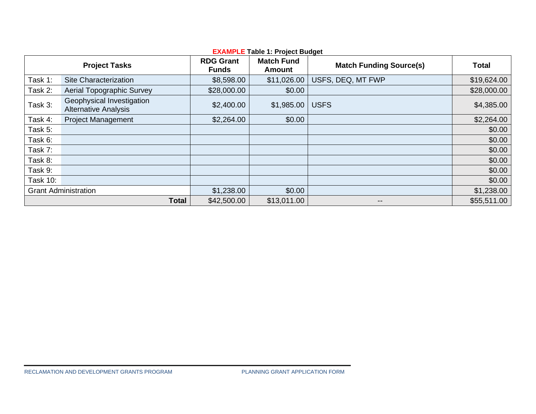| <b>EXAMPLE Table 1: Project Budget</b> |                                                          |                                  |                                    |                                |              |  |
|----------------------------------------|----------------------------------------------------------|----------------------------------|------------------------------------|--------------------------------|--------------|--|
|                                        | <b>Project Tasks</b>                                     | <b>RDG Grant</b><br><b>Funds</b> | <b>Match Fund</b><br><b>Amount</b> | <b>Match Funding Source(s)</b> | <b>Total</b> |  |
| Task 1:                                | Site Characterization                                    | \$8,598.00                       | \$11,026.00                        | USFS, DEQ, MT FWP              | \$19,624.00  |  |
| Task 2:                                | Aerial Topographic Survey                                | \$28,000.00                      | \$0.00                             |                                | \$28,000.00  |  |
| Task 3:                                | Geophysical Investigation<br><b>Alternative Analysis</b> | \$2,400.00                       | \$1,985.00                         | <b>USFS</b>                    | \$4,385.00   |  |
| Task 4:                                | <b>Project Management</b>                                | \$2,264.00                       | \$0.00                             |                                | \$2,264.00   |  |
| Task 5:                                |                                                          |                                  |                                    |                                | \$0.00       |  |
| Task 6:                                |                                                          |                                  |                                    |                                | \$0.00       |  |
| Task 7:                                |                                                          |                                  |                                    |                                | \$0.00       |  |
| Task 8:                                |                                                          |                                  |                                    |                                | \$0.00       |  |
| Task 9:                                |                                                          |                                  |                                    |                                | \$0.00       |  |
| <b>Task 10:</b>                        |                                                          |                                  |                                    |                                | \$0.00       |  |
|                                        | <b>Grant Administration</b>                              | \$1,238.00                       | \$0.00                             |                                | \$1,238.00   |  |
|                                        | <b>Total</b>                                             | \$42,500.00                      | \$13,011.00                        | --                             | \$55,511.00  |  |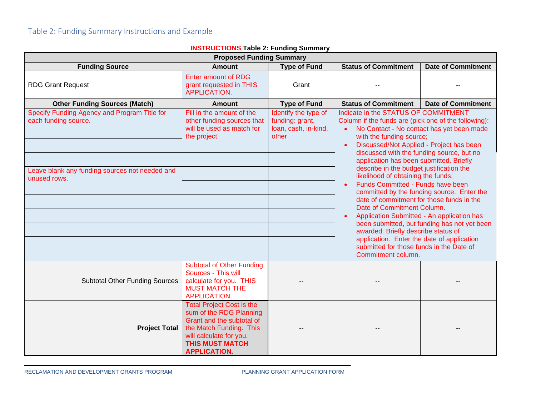<span id="page-9-0"></span>

| <b>INOTINOOTIONO</b> TADIC 2. Fanality Odifilial y<br><b>Proposed Funding Summary</b>                                     |                                                                                                                                                                                                 |                                                                          |                                                                                                                                                                                                                                                                                                                                                                                                                                                                                                                                                                                                                                                                                                                                                                                          |                           |  |  |  |
|---------------------------------------------------------------------------------------------------------------------------|-------------------------------------------------------------------------------------------------------------------------------------------------------------------------------------------------|--------------------------------------------------------------------------|------------------------------------------------------------------------------------------------------------------------------------------------------------------------------------------------------------------------------------------------------------------------------------------------------------------------------------------------------------------------------------------------------------------------------------------------------------------------------------------------------------------------------------------------------------------------------------------------------------------------------------------------------------------------------------------------------------------------------------------------------------------------------------------|---------------------------|--|--|--|
| <b>Type of Fund</b><br><b>Status of Commitment</b><br><b>Date of Commitment</b><br><b>Funding Source</b><br><b>Amount</b> |                                                                                                                                                                                                 |                                                                          |                                                                                                                                                                                                                                                                                                                                                                                                                                                                                                                                                                                                                                                                                                                                                                                          |                           |  |  |  |
| <b>RDG Grant Request</b>                                                                                                  | <b>Enter amount of RDG</b><br>grant requested in THIS<br><b>APPLICATION.</b>                                                                                                                    | Grant                                                                    |                                                                                                                                                                                                                                                                                                                                                                                                                                                                                                                                                                                                                                                                                                                                                                                          |                           |  |  |  |
| <b>Other Funding Sources (Match)</b>                                                                                      | Amount                                                                                                                                                                                          | <b>Type of Fund</b>                                                      | <b>Status of Commitment</b>                                                                                                                                                                                                                                                                                                                                                                                                                                                                                                                                                                                                                                                                                                                                                              | <b>Date of Commitment</b> |  |  |  |
| Specify Funding Agency and Program Title for<br>each funding source.                                                      | Fill in the amount of the<br>other funding sources that<br>will be used as match for<br>the project.                                                                                            | Identify the type of<br>funding: grant,<br>loan, cash, in-kind,<br>other | Indicate in the STATUS OF COMMITMENT<br>Column if the funds are (pick one of the following):<br>No Contact - No contact has yet been made<br>with the funding source;<br>Discussed/Not Applied - Project has been<br>discussed with the funding source, but no<br>application has been submitted. Briefly<br>describe in the budget justification the<br>likelihood of obtaining the funds;<br>Funds Committed - Funds have been<br>committed by the funding source. Enter the<br>date of commitment for those funds in the<br>Date of Commitment Column.<br>Application Submitted - An application has<br>been submitted, but funding has not yet been<br>awarded. Briefly describe status of<br>application. Enter the date of application<br>submitted for those funds in the Date of |                           |  |  |  |
| Leave blank any funding sources not needed and<br>unused rows.                                                            |                                                                                                                                                                                                 |                                                                          |                                                                                                                                                                                                                                                                                                                                                                                                                                                                                                                                                                                                                                                                                                                                                                                          |                           |  |  |  |
| <b>Subtotal Other Funding Sources</b>                                                                                     | <b>Subtotal of Other Funding</b><br>Sources - This will<br>calculate for you. THIS<br><b>MUST MATCH THE</b><br>APPLICATION.                                                                     |                                                                          | Commitment column.                                                                                                                                                                                                                                                                                                                                                                                                                                                                                                                                                                                                                                                                                                                                                                       |                           |  |  |  |
| <b>Project Total</b>                                                                                                      | <b>Total Project Cost is the</b><br>sum of the RDG Planning<br>Grant and the subtotal of<br>the Match Funding. This<br>will calculate for you.<br><b>THIS MUST MATCH</b><br><b>APPLICATION.</b> |                                                                          |                                                                                                                                                                                                                                                                                                                                                                                                                                                                                                                                                                                                                                                                                                                                                                                          |                           |  |  |  |

#### **INSTRUCTIONS Table 2: Funding Summary**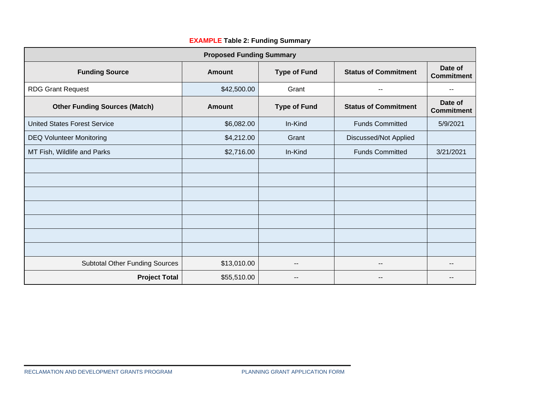| <b>Proposed Funding Summary</b>       |               |                     |                             |                              |  |  |
|---------------------------------------|---------------|---------------------|-----------------------------|------------------------------|--|--|
| <b>Funding Source</b>                 | Amount        | <b>Type of Fund</b> | <b>Status of Commitment</b> | Date of<br><b>Commitment</b> |  |  |
| <b>RDG Grant Request</b>              | \$42,500.00   | Grant               | $\sim$ $\sim$               | --                           |  |  |
| <b>Other Funding Sources (Match)</b>  | <b>Amount</b> | <b>Type of Fund</b> | <b>Status of Commitment</b> | Date of<br><b>Commitment</b> |  |  |
| <b>United States Forest Service</b>   | \$6,082.00    | In-Kind             | <b>Funds Committed</b>      | 5/9/2021                     |  |  |
| <b>DEQ Volunteer Monitoring</b>       | \$4,212.00    | Grant               | Discussed/Not Applied       |                              |  |  |
| MT Fish, Wildlife and Parks           | \$2,716.00    | In-Kind             | <b>Funds Committed</b>      | 3/21/2021                    |  |  |
|                                       |               |                     |                             |                              |  |  |
|                                       |               |                     |                             |                              |  |  |
|                                       |               |                     |                             |                              |  |  |
|                                       |               |                     |                             |                              |  |  |
|                                       |               |                     |                             |                              |  |  |
|                                       |               |                     |                             |                              |  |  |
|                                       |               |                     |                             |                              |  |  |
| <b>Subtotal Other Funding Sources</b> | \$13,010.00   | --                  | $-$                         | --                           |  |  |
| <b>Project Total</b>                  | \$55,510.00   | --                  | $- -$                       |                              |  |  |

# **EXAMPLE Table 2: Funding Summary**